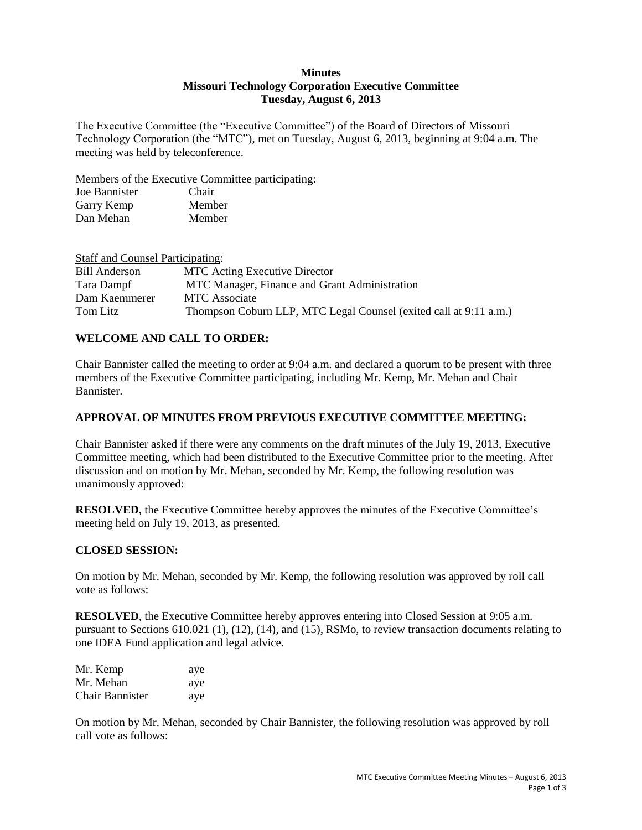### **Minutes Missouri Technology Corporation Executive Committee Tuesday, August 6, 2013**

The Executive Committee (the "Executive Committee") of the Board of Directors of Missouri Technology Corporation (the "MTC"), met on Tuesday, August 6, 2013, beginning at 9:04 a.m. The meeting was held by teleconference.

Members of the Executive Committee participating:

| Joe Bannister | Chair  |
|---------------|--------|
| Garry Kemp    | Member |
| Dan Mehan     | Member |

| <b>Staff and Counsel Participating:</b> |                                                                   |
|-----------------------------------------|-------------------------------------------------------------------|
| Bill Anderson                           | <b>MTC</b> Acting Executive Director                              |
| Tara Dampf                              | MTC Manager, Finance and Grant Administration                     |
| Dam Kaemmerer                           | <b>MTC</b> Associate                                              |
| Tom Litz                                | Thompson Coburn LLP, MTC Legal Counsel (exited call at 9:11 a.m.) |

## **WELCOME AND CALL TO ORDER:**

Chair Bannister called the meeting to order at 9:04 a.m. and declared a quorum to be present with three members of the Executive Committee participating, including Mr. Kemp, Mr. Mehan and Chair Bannister.

### **APPROVAL OF MINUTES FROM PREVIOUS EXECUTIVE COMMITTEE MEETING:**

Chair Bannister asked if there were any comments on the draft minutes of the July 19, 2013, Executive Committee meeting, which had been distributed to the Executive Committee prior to the meeting. After discussion and on motion by Mr. Mehan, seconded by Mr. Kemp, the following resolution was unanimously approved:

**RESOLVED**, the Executive Committee hereby approves the minutes of the Executive Committee's meeting held on July 19, 2013, as presented.

### **CLOSED SESSION:**

On motion by Mr. Mehan, seconded by Mr. Kemp, the following resolution was approved by roll call vote as follows:

**RESOLVED**, the Executive Committee hereby approves entering into Closed Session at 9:05 a.m. pursuant to Sections 610.021 (1), (12), (14), and (15), RSMo, to review transaction documents relating to one IDEA Fund application and legal advice.

| Mr. Kemp               | aye |
|------------------------|-----|
| Mr. Mehan              | aye |
| <b>Chair Bannister</b> | aye |

On motion by Mr. Mehan, seconded by Chair Bannister, the following resolution was approved by roll call vote as follows: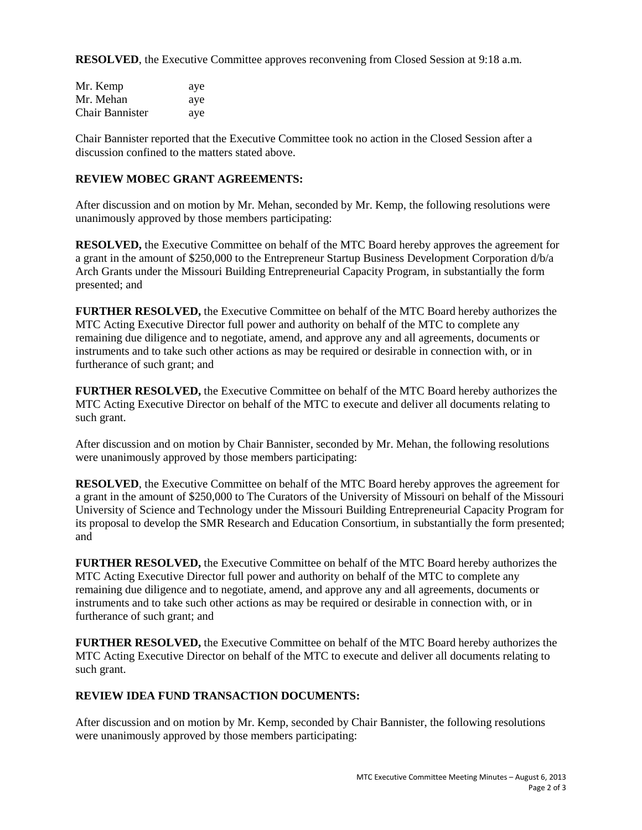**RESOLVED**, the Executive Committee approves reconvening from Closed Session at 9:18 a.m.

| Mr. Kemp               | aye |
|------------------------|-----|
| Mr. Mehan              | aye |
| <b>Chair Bannister</b> | aye |

Chair Bannister reported that the Executive Committee took no action in the Closed Session after a discussion confined to the matters stated above.

## **REVIEW MOBEC GRANT AGREEMENTS:**

After discussion and on motion by Mr. Mehan, seconded by Mr. Kemp, the following resolutions were unanimously approved by those members participating:

**RESOLVED,** the Executive Committee on behalf of the MTC Board hereby approves the agreement for a grant in the amount of \$250,000 to the Entrepreneur Startup Business Development Corporation d/b/a Arch Grants under the Missouri Building Entrepreneurial Capacity Program, in substantially the form presented; and

**FURTHER RESOLVED,** the Executive Committee on behalf of the MTC Board hereby authorizes the MTC Acting Executive Director full power and authority on behalf of the MTC to complete any remaining due diligence and to negotiate, amend, and approve any and all agreements, documents or instruments and to take such other actions as may be required or desirable in connection with, or in furtherance of such grant; and

**FURTHER RESOLVED,** the Executive Committee on behalf of the MTC Board hereby authorizes the MTC Acting Executive Director on behalf of the MTC to execute and deliver all documents relating to such grant.

After discussion and on motion by Chair Bannister, seconded by Mr. Mehan, the following resolutions were unanimously approved by those members participating:

**RESOLVED**, the Executive Committee on behalf of the MTC Board hereby approves the agreement for a grant in the amount of \$250,000 to The Curators of the University of Missouri on behalf of the Missouri University of Science and Technology under the Missouri Building Entrepreneurial Capacity Program for its proposal to develop the SMR Research and Education Consortium, in substantially the form presented; and

**FURTHER RESOLVED,** the Executive Committee on behalf of the MTC Board hereby authorizes the MTC Acting Executive Director full power and authority on behalf of the MTC to complete any remaining due diligence and to negotiate, amend, and approve any and all agreements, documents or instruments and to take such other actions as may be required or desirable in connection with, or in furtherance of such grant; and

**FURTHER RESOLVED,** the Executive Committee on behalf of the MTC Board hereby authorizes the MTC Acting Executive Director on behalf of the MTC to execute and deliver all documents relating to such grant.

### **REVIEW IDEA FUND TRANSACTION DOCUMENTS:**

After discussion and on motion by Mr. Kemp, seconded by Chair Bannister, the following resolutions were unanimously approved by those members participating: